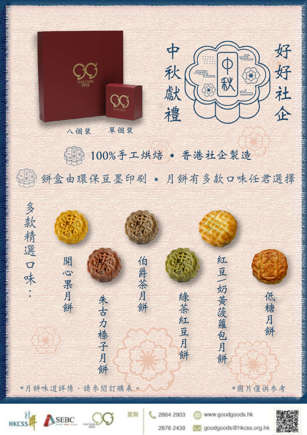